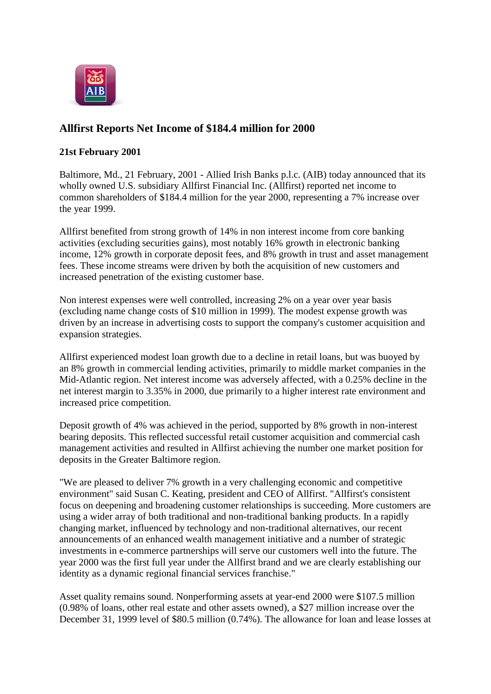

## **Allfirst Reports Net Income of \$184.4 million for 2000**

## **21st February 2001**

Baltimore, Md., 21 February, 2001 - Allied Irish Banks p.l.c. (AIB) today announced that its wholly owned U.S. subsidiary Allfirst Financial Inc. (Allfirst) reported net income to common shareholders of \$184.4 million for the year 2000, representing a 7% increase over the year 1999.

Allfirst benefited from strong growth of 14% in non interest income from core banking activities (excluding securities gains), most notably 16% growth in electronic banking income, 12% growth in corporate deposit fees, and 8% growth in trust and asset management fees. These income streams were driven by both the acquisition of new customers and increased penetration of the existing customer base.

Non interest expenses were well controlled, increasing 2% on a year over year basis (excluding name change costs of \$10 million in 1999). The modest expense growth was driven by an increase in advertising costs to support the company's customer acquisition and expansion strategies.

Allfirst experienced modest loan growth due to a decline in retail loans, but was buoyed by an 8% growth in commercial lending activities, primarily to middle market companies in the Mid-Atlantic region. Net interest income was adversely affected, with a 0.25% decline in the net interest margin to 3.35% in 2000, due primarily to a higher interest rate environment and increased price competition.

Deposit growth of 4% was achieved in the period, supported by 8% growth in non-interest bearing deposits. This reflected successful retail customer acquisition and commercial cash management activities and resulted in Allfirst achieving the number one market position for deposits in the Greater Baltimore region.

"We are pleased to deliver 7% growth in a very challenging economic and competitive environment" said Susan C. Keating, president and CEO of Allfirst. "Allfirst's consistent focus on deepening and broadening customer relationships is succeeding. More customers are using a wider array of both traditional and non-traditional banking products. In a rapidly changing market, influenced by technology and non-traditional alternatives, our recent announcements of an enhanced wealth management initiative and a number of strategic investments in e-commerce partnerships will serve our customers well into the future. The year 2000 was the first full year under the Allfirst brand and we are clearly establishing our identity as a dynamic regional financial services franchise."

Asset quality remains sound. Nonperforming assets at year-end 2000 were \$107.5 million (0.98% of loans, other real estate and other assets owned), a \$27 million increase over the December 31, 1999 level of \$80.5 million (0.74%). The allowance for loan and lease losses at